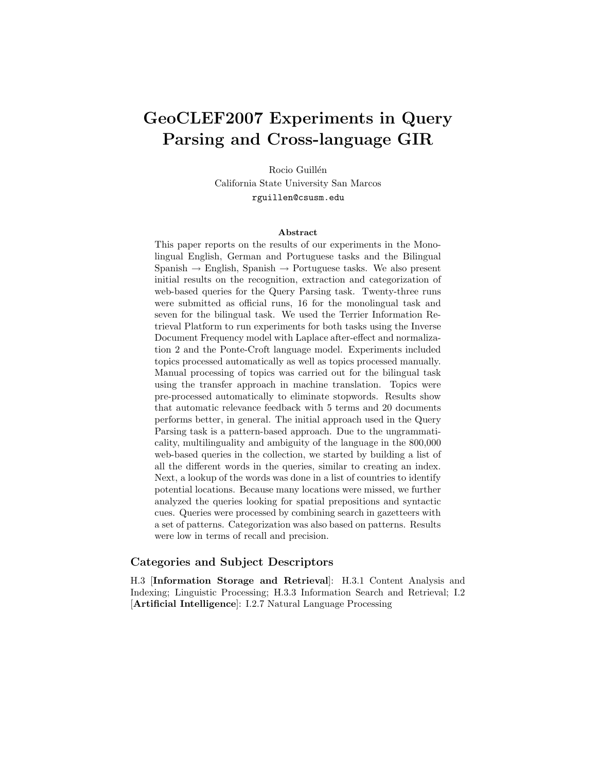# GeoCLEF2007 Experiments in Query Parsing and Cross-language GIR

Rocio Guillén California State University San Marcos rguillen@csusm.edu

#### Abstract

This paper reports on the results of our experiments in the Monolingual English, German and Portuguese tasks and the Bilingual Spanish  $\rightarrow$  English, Spanish  $\rightarrow$  Portuguese tasks. We also present initial results on the recognition, extraction and categorization of web-based queries for the Query Parsing task. Twenty-three runs were submitted as official runs, 16 for the monolingual task and seven for the bilingual task. We used the Terrier Information Retrieval Platform to run experiments for both tasks using the Inverse Document Frequency model with Laplace after-effect and normalization 2 and the Ponte-Croft language model. Experiments included topics processed automatically as well as topics processed manually. Manual processing of topics was carried out for the bilingual task using the transfer approach in machine translation. Topics were pre-processed automatically to eliminate stopwords. Results show that automatic relevance feedback with 5 terms and 20 documents performs better, in general. The initial approach used in the Query Parsing task is a pattern-based approach. Due to the ungrammaticality, multilinguality and ambiguity of the language in the 800,000 web-based queries in the collection, we started by building a list of all the different words in the queries, similar to creating an index. Next, a lookup of the words was done in a list of countries to identify potential locations. Because many locations were missed, we further analyzed the queries looking for spatial prepositions and syntactic cues. Queries were processed by combining search in gazetteers with a set of patterns. Categorization was also based on patterns. Results were low in terms of recall and precision.

#### Categories and Subject Descriptors

H.3 [Information Storage and Retrieval]: H.3.1 Content Analysis and Indexing; Linguistic Processing; H.3.3 Information Search and Retrieval; I.2 [Artificial Intelligence]: I.2.7 Natural Language Processing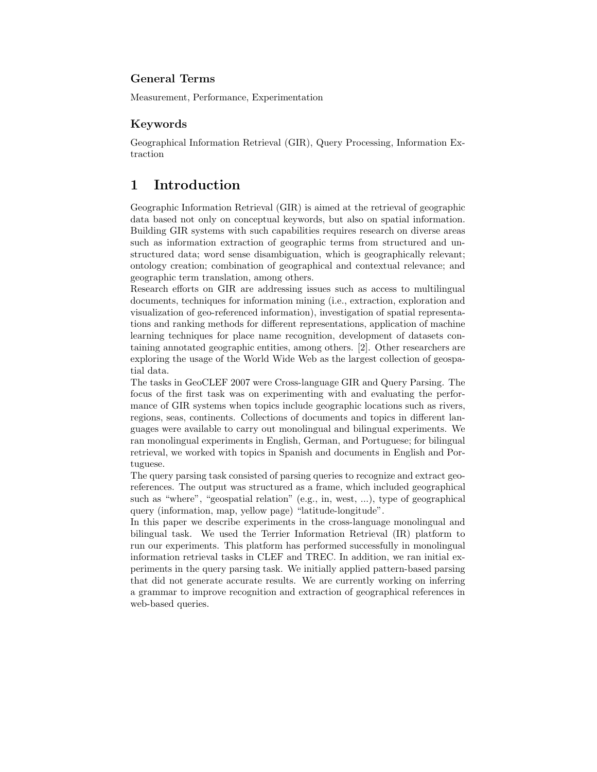### General Terms

Measurement, Performance, Experimentation

#### Keywords

Geographical Information Retrieval (GIR), Query Processing, Information Extraction

# 1 Introduction

Geographic Information Retrieval (GIR) is aimed at the retrieval of geographic data based not only on conceptual keywords, but also on spatial information. Building GIR systems with such capabilities requires research on diverse areas such as information extraction of geographic terms from structured and unstructured data; word sense disambiguation, which is geographically relevant; ontology creation; combination of geographical and contextual relevance; and geographic term translation, among others.

Research efforts on GIR are addressing issues such as access to multilingual documents, techniques for information mining (i.e., extraction, exploration and visualization of geo-referenced information), investigation of spatial representations and ranking methods for different representations, application of machine learning techniques for place name recognition, development of datasets containing annotated geographic entities, among others. [2]. Other researchers are exploring the usage of the World Wide Web as the largest collection of geospatial data.

The tasks in GeoCLEF 2007 were Cross-language GIR and Query Parsing. The focus of the first task was on experimenting with and evaluating the performance of GIR systems when topics include geographic locations such as rivers, regions, seas, continents. Collections of documents and topics in different languages were available to carry out monolingual and bilingual experiments. We ran monolingual experiments in English, German, and Portuguese; for bilingual retrieval, we worked with topics in Spanish and documents in English and Portuguese.

The query parsing task consisted of parsing queries to recognize and extract georeferences. The output was structured as a frame, which included geographical such as "where", "geospatial relation" (e.g., in, west, ...), type of geographical query (information, map, yellow page) "latitude-longitude".

In this paper we describe experiments in the cross-language monolingual and bilingual task. We used the Terrier Information Retrieval (IR) platform to run our experiments. This platform has performed successfully in monolingual information retrieval tasks in CLEF and TREC. In addition, we ran initial experiments in the query parsing task. We initially applied pattern-based parsing that did not generate accurate results. We are currently working on inferring a grammar to improve recognition and extraction of geographical references in web-based queries.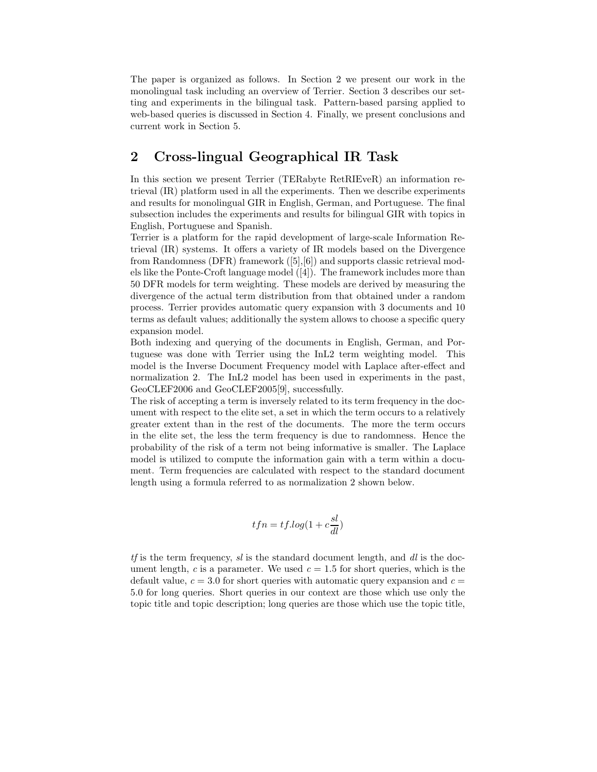The paper is organized as follows. In Section 2 we present our work in the monolingual task including an overview of Terrier. Section 3 describes our setting and experiments in the bilingual task. Pattern-based parsing applied to web-based queries is discussed in Section 4. Finally, we present conclusions and current work in Section 5.

# 2 Cross-lingual Geographical IR Task

In this section we present Terrier (TERabyte RetRIEveR) an information retrieval (IR) platform used in all the experiments. Then we describe experiments and results for monolingual GIR in English, German, and Portuguese. The final subsection includes the experiments and results for bilingual GIR with topics in English, Portuguese and Spanish.

Terrier is a platform for the rapid development of large-scale Information Retrieval (IR) systems. It offers a variety of IR models based on the Divergence from Randomness (DFR) framework ([5],[6]) and supports classic retrieval models like the Ponte-Croft language model ([4]). The framework includes more than 50 DFR models for term weighting. These models are derived by measuring the divergence of the actual term distribution from that obtained under a random process. Terrier provides automatic query expansion with 3 documents and 10 terms as default values; additionally the system allows to choose a specific query expansion model.

Both indexing and querying of the documents in English, German, and Portuguese was done with Terrier using the InL2 term weighting model. This model is the Inverse Document Frequency model with Laplace after-effect and normalization 2. The InL2 model has been used in experiments in the past, GeoCLEF2006 and GeoCLEF2005[9], successfully.

The risk of accepting a term is inversely related to its term frequency in the document with respect to the elite set, a set in which the term occurs to a relatively greater extent than in the rest of the documents. The more the term occurs in the elite set, the less the term frequency is due to randomness. Hence the probability of the risk of a term not being informative is smaller. The Laplace model is utilized to compute the information gain with a term within a document. Term frequencies are calculated with respect to the standard document length using a formula referred to as normalization 2 shown below.

$$
tfn=tf.log(1+c\frac{sl}{dl})
$$

 $tf$  is the term frequency,  $sl$  is the standard document length, and  $dl$  is the document length, c is a parameter. We used  $c = 1.5$  for short queries, which is the default value,  $c = 3.0$  for short queries with automatic query expansion and  $c =$ 5.0 for long queries. Short queries in our context are those which use only the topic title and topic description; long queries are those which use the topic title,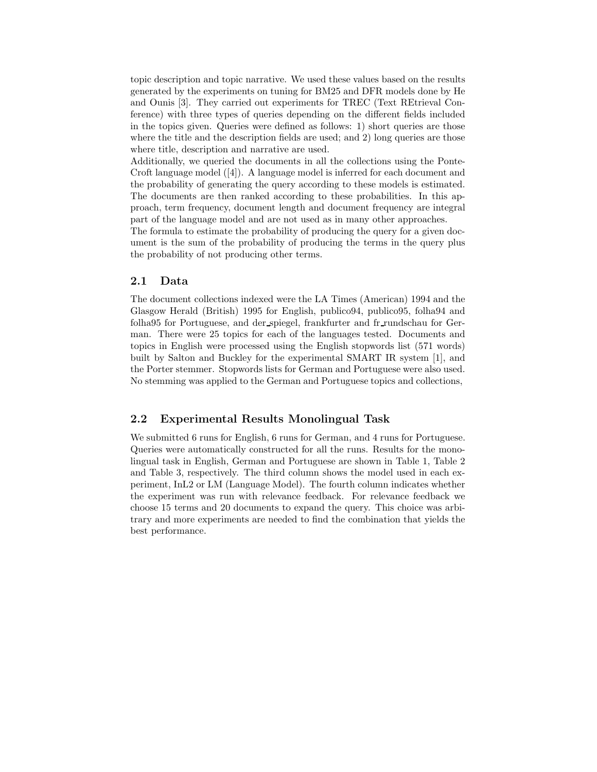topic description and topic narrative. We used these values based on the results generated by the experiments on tuning for BM25 and DFR models done by He and Ounis [3]. They carried out experiments for TREC (Text REtrieval Conference) with three types of queries depending on the different fields included in the topics given. Queries were defined as follows: 1) short queries are those where the title and the description fields are used; and 2) long queries are those where title, description and narrative are used.

Additionally, we queried the documents in all the collections using the Ponte-Croft language model ([4]). A language model is inferred for each document and the probability of generating the query according to these models is estimated. The documents are then ranked according to these probabilities. In this approach, term frequency, document length and document frequency are integral part of the language model and are not used as in many other approaches.

The formula to estimate the probability of producing the query for a given document is the sum of the probability of producing the terms in the query plus the probability of not producing other terms.

#### 2.1 Data

The document collections indexed were the LA Times (American) 1994 and the Glasgow Herald (British) 1995 for English, publico94, publico95, folha94 and folha95 for Portuguese, and der spiegel, frankfurter and fr rundschau for German. There were 25 topics for each of the languages tested. Documents and topics in English were processed using the English stopwords list (571 words) built by Salton and Buckley for the experimental SMART IR system [1], and the Porter stemmer. Stopwords lists for German and Portuguese were also used. No stemming was applied to the German and Portuguese topics and collections,

#### 2.2 Experimental Results Monolingual Task

We submitted 6 runs for English, 6 runs for German, and 4 runs for Portuguese. Queries were automatically constructed for all the runs. Results for the monolingual task in English, German and Portuguese are shown in Table 1, Table 2 and Table 3, respectively. The third column shows the model used in each experiment, InL2 or LM (Language Model). The fourth column indicates whether the experiment was run with relevance feedback. For relevance feedback we choose 15 terms and 20 documents to expand the query. This choice was arbitrary and more experiments are needed to find the combination that yields the best performance.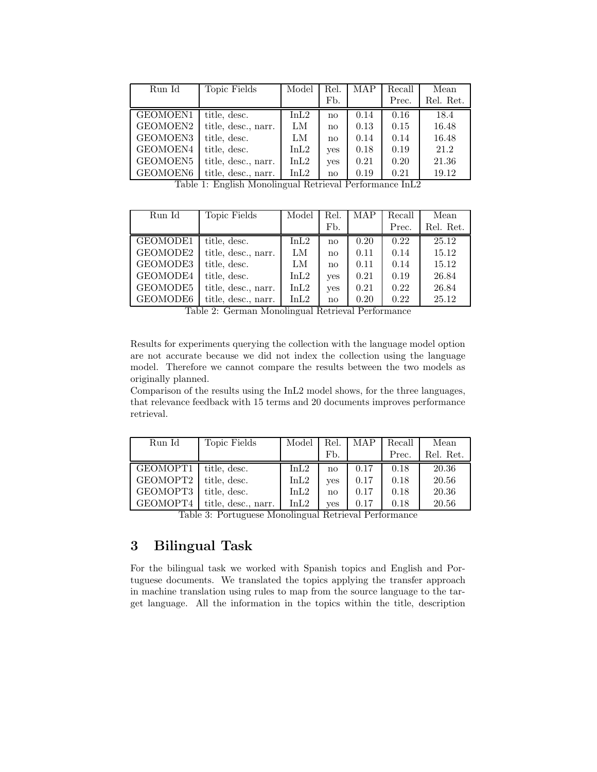| Run Id    | Topic Fields                                                                                                                                                                                                                                                                                                                                                                                                                                                                                          | Model    | Rel.                   | <b>MAP</b>                             | Recall         | Mean      |
|-----------|-------------------------------------------------------------------------------------------------------------------------------------------------------------------------------------------------------------------------------------------------------------------------------------------------------------------------------------------------------------------------------------------------------------------------------------------------------------------------------------------------------|----------|------------------------|----------------------------------------|----------------|-----------|
|           |                                                                                                                                                                                                                                                                                                                                                                                                                                                                                                       |          | Fb.                    |                                        | Prec.          | Rel. Ret. |
| GEOMOEN1  | title, desc.                                                                                                                                                                                                                                                                                                                                                                                                                                                                                          | InL2     | no                     | 0.14                                   | 0.16           | 18.4      |
| GEOMOEN2  | title, desc., narr.                                                                                                                                                                                                                                                                                                                                                                                                                                                                                   | LM       | no                     | 0.13                                   | 0.15           | 16.48     |
| GEOMOEN3  | title, desc.                                                                                                                                                                                                                                                                                                                                                                                                                                                                                          | LM       | no                     | 0.14                                   | 0.14           | 16.48     |
| GEOMOEN4  | title, desc.                                                                                                                                                                                                                                                                                                                                                                                                                                                                                          | InL2     | yes                    | 0.18                                   | 0.19           | 21.2      |
| GEOMOEN5  | title, desc., narr.                                                                                                                                                                                                                                                                                                                                                                                                                                                                                   | InL2     | yes                    | 0.21                                   | 0.20           | 21.36     |
| GEOMOEN6  | title, desc., narr.                                                                                                                                                                                                                                                                                                                                                                                                                                                                                   | InL2     | $\mathbf{n}\mathbf{o}$ | 0.19                                   | 0.21           | 19.12     |
| $T = 1.1$ | $\cdot$<br>$\blacksquare$ $\blacksquare$ $\blacksquare$ $\blacksquare$ $\blacksquare$ $\blacksquare$ $\blacksquare$ $\blacksquare$ $\blacksquare$ $\blacksquare$ $\blacksquare$ $\blacksquare$ $\blacksquare$ $\blacksquare$ $\blacksquare$ $\blacksquare$ $\blacksquare$ $\blacksquare$ $\blacksquare$ $\blacksquare$ $\blacksquare$ $\blacksquare$ $\blacksquare$ $\blacksquare$ $\blacksquare$ $\blacksquare$ $\blacksquare$ $\blacksquare$ $\blacksquare$ $\blacksquare$ $\blacksquare$ $\blacks$ | $\cdots$ |                        | $\mathbf{1}$ $\mathbf{D}$ $\mathbf{c}$ | $T$ $T$ $\cap$ |           |

Table 1: English Monolingual Retrieval Performance InL2

| Run Id   | Topic Fields                        | Model          | Rel.                | <b>MAP</b>                   | Recall | Mean      |
|----------|-------------------------------------|----------------|---------------------|------------------------------|--------|-----------|
|          |                                     |                | Fb.                 |                              | Prec.  | Rel. Ret. |
| GEOMODE1 | title, desc.                        | InL2           | no                  | 0.20                         | 0.22   | 25.12     |
| GEOMODE2 | title, desc., narr.                 | LM             | no                  | 0.11                         | 0.14   | 15.12     |
| GEOMODE3 | title, desc.                        | LM             | no                  | 0.11                         | 0.14   | 15.12     |
| GEOMODE4 | title, desc.                        | InL2           | yes                 | 0.21                         | 0.19   | 26.84     |
| GEOMODE5 | title, desc., narr.                 | InL2           | yes                 | 0.21                         | 0.22   | 26.84     |
| GEOMODE6 | title, desc., narr.<br>-----<br>$-$ | InL2<br>$\sim$ | no<br>$\sim$ $\sim$ | 0.20<br>$\sim$ $\sim$ $\sim$ | 0.22   | 25.12     |

Table 2: German Monolingual Retrieval Performance

Results for experiments querying the collection with the language model option are not accurate because we did not index the collection using the language model. Therefore we cannot compare the results between the two models as originally planned.

Comparison of the results using the InL2 model shows, for the three languages, that relevance feedback with 15 terms and 20 documents improves performance retrieval.

| Run Id   | Topic Fields        | Model | Rel.       | MAP  | Recall | Mean      |
|----------|---------------------|-------|------------|------|--------|-----------|
|          |                     |       | Fb.        |      | Prec.  | Rel. Ret. |
| GEOMOPT1 | title, desc.        | InL2  | no         | 0.17 | 0.18   | 20.36     |
| GEOMOPT2 | title, desc.        | InL2  | <b>ves</b> | 0.17 | 0.18   | 20.56     |
| GEOMOPT3 | title, desc.        | InL2  | no         | 0.17 | 0.18   | 20.36     |
| GEOMOPT4 | title, desc., narr. | InL2  | ves        | 0.17 | 0.18   | 20.56     |

Table 3: Portuguese Monolingual Retrieval Performance

# 3 Bilingual Task

For the bilingual task we worked with Spanish topics and English and Portuguese documents. We translated the topics applying the transfer approach in machine translation using rules to map from the source language to the target language. All the information in the topics within the title, description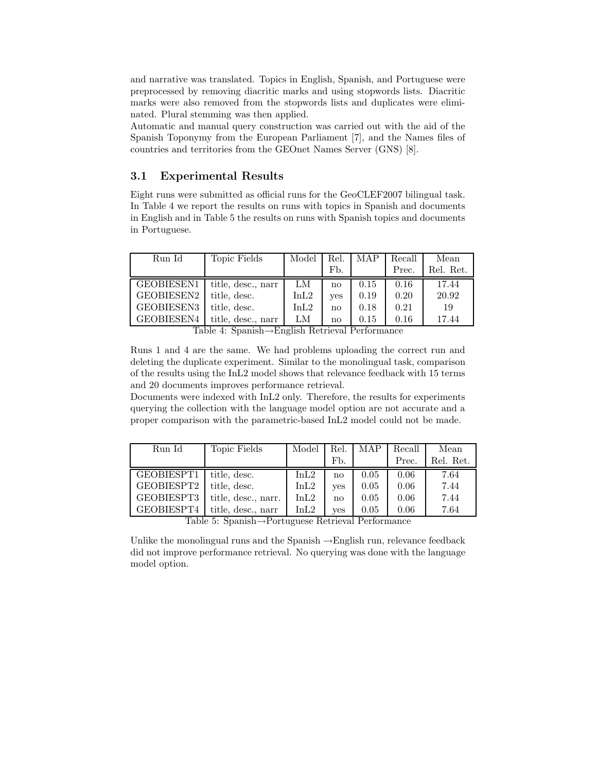and narrative was translated. Topics in English, Spanish, and Portuguese were preprocessed by removing diacritic marks and using stopwords lists. Diacritic marks were also removed from the stopwords lists and duplicates were eliminated. Plural stemming was then applied.

Automatic and manual query construction was carried out with the aid of the Spanish Toponymy from the European Parliament [7], and the Names files of countries and territories from the GEOnet Names Server (GNS) [8].

### 3.1 Experimental Results

Eight runs were submitted as official runs for the GeoCLEF2007 bilingual task. In Table 4 we report the results on runs with topics in Spanish and documents in English and in Table 5 the results on runs with Spanish topics and documents in Portuguese.

| Run Id     | Topic Fields                                                 | Model   | Rel.         | MAP  | Recall | Mean      |
|------------|--------------------------------------------------------------|---------|--------------|------|--------|-----------|
|            |                                                              |         | Fb.          |      | Prec.  | Rel. Ret. |
| GEOBIESEN1 | title, desc., narr                                           | LM      | no           | 0.15 | 0.16   | 17.44     |
| GEOBIESEN2 | title, desc.                                                 | InL2    | yes          | 0.19 | 0.20   | 20.92     |
| GEOBIESEN3 | title, desc.                                                 | InL2    | no           | 0.18 | 0.21   | 19        |
| GEOBIESEN4 | title, desc., narr<br>$-11$ $-2$<br>$\overline{\phantom{0}}$ | LM<br>. | no<br>$\sim$ | 0.15 | 0.16   | 17.44     |

Table 4: Spanish→English Retrieval Performance

Runs 1 and 4 are the same. We had problems uploading the correct run and deleting the duplicate experiment. Similar to the monolingual task, comparison of the results using the InL2 model shows that relevance feedback with 15 terms and 20 documents improves performance retrieval.

Documents were indexed with InL2 only. Therefore, the results for experiments querying the collection with the language model option are not accurate and a proper comparison with the parametric-based InL2 model could not be made.

| Run Id     | Topic Fields                              | Model                                                                   | Rel.         | MAP  | Recall | Mean      |
|------------|-------------------------------------------|-------------------------------------------------------------------------|--------------|------|--------|-----------|
|            |                                           |                                                                         | Fb.          |      | Prec.  | Rel. Ret. |
| GEOBIESPT1 | title, desc.                              | InL2                                                                    | no           | 0.05 | 0.06   | 7.64      |
| GEOBIESPT2 | title, desc.                              | InL2                                                                    | <b>ves</b>   | 0.05 | 0.06   | 7.44      |
| GEOBIESPT3 | title, desc., narr.                       | InL2                                                                    | $\mathbf{n}$ | 0.05 | 0.06   | 7.44      |
| GEOBIESPT4 | title, desc., narr<br>$m 11 r \alpha + 1$ | InL2<br>$\mathbf{p}$ and $\mathbf{p}$ and $\mathbf{p}$ and $\mathbf{p}$ | ves          | 0.05 | 0.06   | 7.64      |

Table 5: Spanish→Portuguese Retrieval Performance

Unlike the monolingual runs and the Spanish →English run, relevance feedback did not improve performance retrieval. No querying was done with the language model option.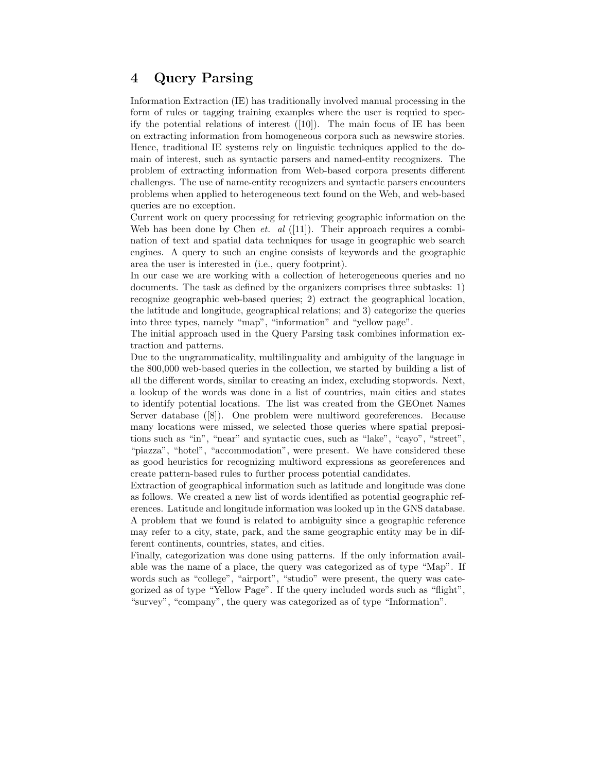# 4 Query Parsing

Information Extraction (IE) has traditionally involved manual processing in the form of rules or tagging training examples where the user is requied to specify the potential relations of interest  $([10])$ . The main focus of IE has been on extracting information from homogeneous corpora such as newswire stories. Hence, traditional IE systems rely on linguistic techniques applied to the domain of interest, such as syntactic parsers and named-entity recognizers. The problem of extracting information from Web-based corpora presents different challenges. The use of name-entity recognizers and syntactic parsers encounters problems when applied to heterogeneous text found on the Web, and web-based queries are no exception.

Current work on query processing for retrieving geographic information on the Web has been done by Chen *et. al* ([11]). Their approach requires a combination of text and spatial data techniques for usage in geographic web search engines. A query to such an engine consists of keywords and the geographic area the user is interested in (i.e., query footprint).

In our case we are working with a collection of heterogeneous queries and no documents. The task as defined by the organizers comprises three subtasks: 1) recognize geographic web-based queries; 2) extract the geographical location, the latitude and longitude, geographical relations; and 3) categorize the queries into three types, namely "map", "information" and "yellow page".

The initial approach used in the Query Parsing task combines information extraction and patterns.

Due to the ungrammaticality, multilinguality and ambiguity of the language in the 800,000 web-based queries in the collection, we started by building a list of all the different words, similar to creating an index, excluding stopwords. Next, a lookup of the words was done in a list of countries, main cities and states to identify potential locations. The list was created from the GEOnet Names Server database ([8]). One problem were multiword georeferences. Because many locations were missed, we selected those queries where spatial prepositions such as "in", "near" and syntactic cues, such as "lake", "cayo", "street", "piazza", "hotel", "accommodation", were present. We have considered these as good heuristics for recognizing multiword expressions as georeferences and create pattern-based rules to further process potential candidates.

Extraction of geographical information such as latitude and longitude was done as follows. We created a new list of words identified as potential geographic references. Latitude and longitude information was looked up in the GNS database. A problem that we found is related to ambiguity since a geographic reference may refer to a city, state, park, and the same geographic entity may be in different continents, countries, states, and cities.

Finally, categorization was done using patterns. If the only information available was the name of a place, the query was categorized as of type "Map". If words such as "college", "airport", "studio" were present, the query was categorized as of type "Yellow Page". If the query included words such as "flight", "survey", "company", the query was categorized as of type "Information".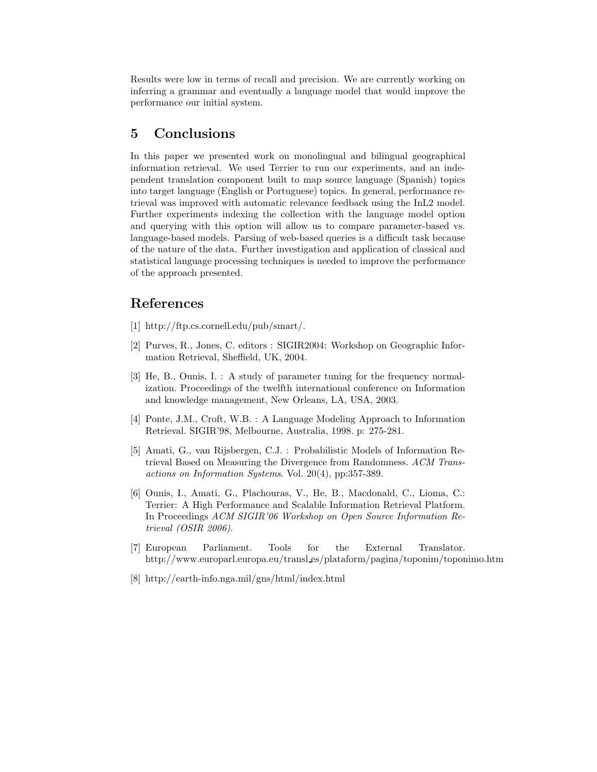Results were low in terms of recall and precision. We are currently working on inferring a grammar and eventually a language model that would improve the performance our initial system.

# 5 Conclusions

In this paper we presented work on monolingual and bilingual geographical information retrieval. We used Terrier to run our experiments, and an independent translation component built to map source language (Spanish) topics into target language (English or Portuguese) topics. In general, performance retrieval was improved with automatic relevance feedback using the InL2 model. Further experiments indexing the collection with the language model option and querying with this option will allow us to compare parameter-based vs. language-based models. Parsing of web-based queries is a difficult task because of the nature of the data. Further investigation and application of classical and statistical language processing techniques is needed to improve the performance of the approach presented.

## References

- [1] http://ftp.cs.cornell.edu/pub/smart/.
- [2] Purves, R., Jones, C. editors : SIGIR2004: Workshop on Geographic Information Retrieval, Sheffield, UK, 2004.
- [3] He, B., Ounis, I. : A study of parameter tuning for the frequency normalization. Proceedings of the twelfth international conference on Information and knowledge management, New Orleans, LA, USA, 2003.
- [4] Ponte, J.M., Croft, W.B. : A Language Modeling Approach to Information Retrieval. SIGIR'98, Melbourne, Australia, 1998. p: 275-281.
- [5] Amati, G., van Rijsbergen, C.J. : Probabilistic Models of Information Retrieval Based on Measuring the Divergence from Randomness. ACM Transactions on Information Systems. Vol. 20(4), pp:357-389.
- [6] Ounis, I., Amati, G., Plachouras, V., He, B., Macdonald, C., Lioma, C.: Terrier: A High Performance and Scalable Information Retrieval Platform. In Proceedings ACM SIGIR'06 Workshop on Open Source Information Retrieval (OSIR 2006).
- [7] European Parliament. Tools for the External Translator. http://www.europarl.europa.eu/transl es/plataform/pagina/toponim/toponimo.htm
- [8] http://earth-info.nga.mil/gns/html/index.html